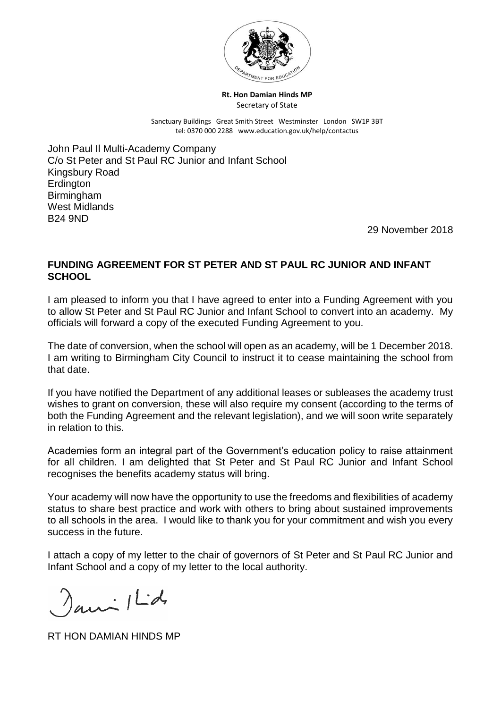

**Rt. Hon Damian Hinds MP** Secretary of State

Sanctuary Buildings Great Smith Street Westminster London SW1P 3BT tel: 0370 000 2288 www.education.gov.uk/help/contactus

John Paul Il Multi-Academy Company C/o St Peter and St Paul RC Junior and Infant School Kingsbury Road **Erdington Birmingham** West Midlands B24 9ND

29 November 2018

## **FUNDING AGREEMENT FOR ST PETER AND ST PAUL RC JUNIOR AND INFANT SCHOOL**

I am pleased to inform you that I have agreed to enter into a Funding Agreement with you to allow St Peter and St Paul RC Junior and Infant School to convert into an academy. My officials will forward a copy of the executed Funding Agreement to you.

The date of conversion, when the school will open as an academy, will be 1 December 2018. I am writing to Birmingham City Council to instruct it to cease maintaining the school from that date.

If you have notified the Department of any additional leases or subleases the academy trust wishes to grant on conversion, these will also require my consent (according to the terms of both the Funding Agreement and the relevant legislation), and we will soon write separately in relation to this.

Academies form an integral part of the Government's education policy to raise attainment for all children. I am delighted that St Peter and St Paul RC Junior and Infant School recognises the benefits academy status will bring.

Your academy will now have the opportunity to use the freedoms and flexibilities of academy status to share best practice and work with others to bring about sustained improvements to all schools in the area. I would like to thank you for your commitment and wish you every success in the future.

I attach a copy of my letter to the chair of governors of St Peter and St Paul RC Junior and Infant School and a copy of my letter to the local authority.

 $aux/Ld$ 

RT HON DAMIAN HINDS MP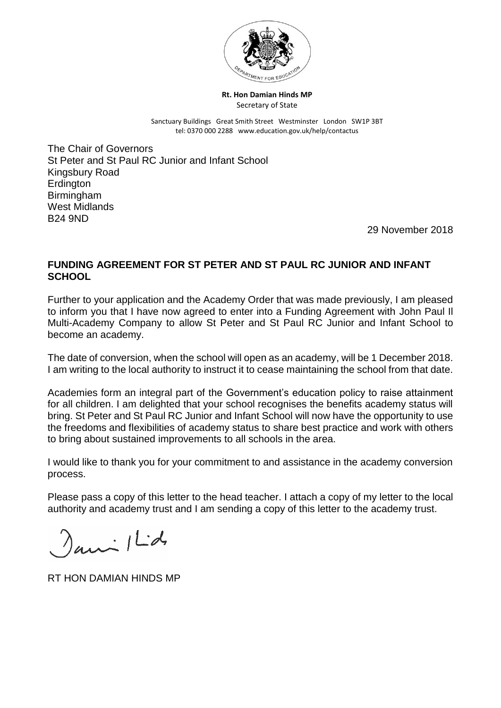

**Rt. Hon Damian Hinds MP** Secretary of State

Sanctuary Buildings Great Smith Street Westminster London SW1P 3BT tel: 0370 000 2288 www.education.gov.uk/help/contactus

The Chair of Governors St Peter and St Paul RC Junior and Infant School Kingsbury Road **Erdington Birmingham** West Midlands B24 9ND

29 November 2018

## **FUNDING AGREEMENT FOR ST PETER AND ST PAUL RC JUNIOR AND INFANT SCHOOL**

Further to your application and the Academy Order that was made previously, I am pleased to inform you that I have now agreed to enter into a Funding Agreement with John Paul Il Multi-Academy Company to allow St Peter and St Paul RC Junior and Infant School to become an academy.

The date of conversion, when the school will open as an academy, will be 1 December 2018. I am writing to the local authority to instruct it to cease maintaining the school from that date.

Academies form an integral part of the Government's education policy to raise attainment for all children. I am delighted that your school recognises the benefits academy status will bring. St Peter and St Paul RC Junior and Infant School will now have the opportunity to use the freedoms and flexibilities of academy status to share best practice and work with others to bring about sustained improvements to all schools in the area.

I would like to thank you for your commitment to and assistance in the academy conversion process.

Please pass a copy of this letter to the head teacher. I attach a copy of my letter to the local authority and academy trust and I am sending a copy of this letter to the academy trust.

 $aux/Ld$ 

RT HON DAMIAN HINDS MP